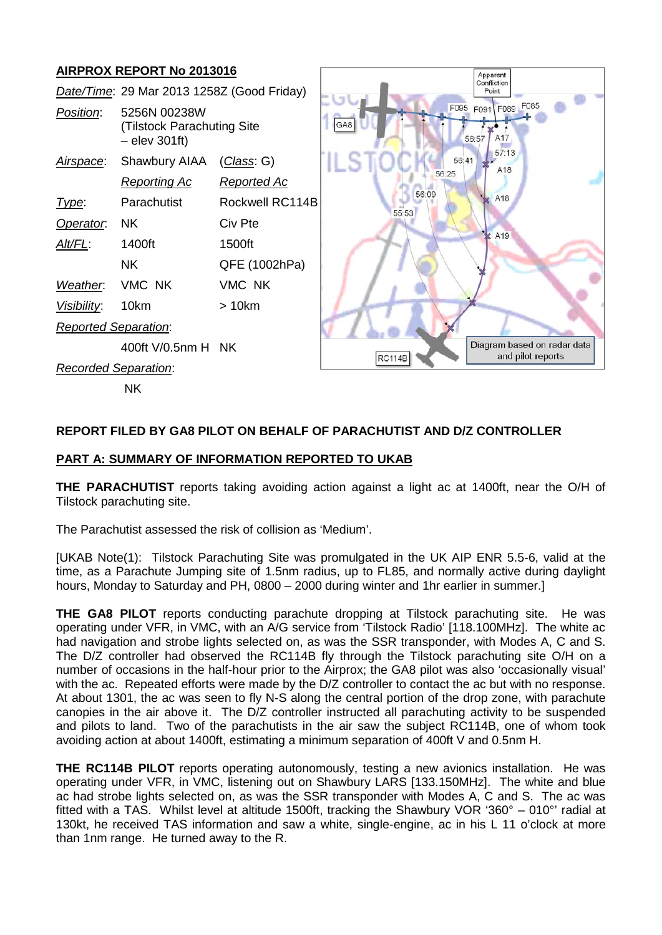# **AIRPROX REPORT No 2013016**



## **REPORT FILED BY GA8 PILOT ON BEHALF OF PARACHUTIST AND D/Z CONTROLLER**

#### **PART A: SUMMARY OF INFORMATION REPORTED TO UKAB**

**THE PARACHUTIST** reports taking avoiding action against a light ac at 1400ft, near the O/H of Tilstock parachuting site.

The Parachutist assessed the risk of collision as 'Medium'.

[UKAB Note(1): Tilstock Parachuting Site was promulgated in the UK AIP ENR 5.5-6, valid at the time, as a Parachute Jumping site of 1.5nm radius, up to FL85, and normally active during daylight hours, Monday to Saturday and PH, 0800 – 2000 during winter and 1hr earlier in summer.]

**THE GA8 PILOT** reports conducting parachute dropping at Tilstock parachuting site. He was operating under VFR, in VMC, with an A/G service from 'Tilstock Radio' [118.100MHz]. The white ac had navigation and strobe lights selected on, as was the SSR transponder, with Modes A, C and S. The D/Z controller had observed the RC114B fly through the Tilstock parachuting site O/H on a number of occasions in the half-hour prior to the Airprox; the GA8 pilot was also 'occasionally visual' with the ac. Repeated efforts were made by the D/Z controller to contact the ac but with no response. At about 1301, the ac was seen to fly N-S along the central portion of the drop zone, with parachute canopies in the air above it. The D/Z controller instructed all parachuting activity to be suspended and pilots to land. Two of the parachutists in the air saw the subject RC114B, one of whom took avoiding action at about 1400ft, estimating a minimum separation of 400ft V and 0.5nm H.

**THE RC114B PILOT** reports operating autonomously, testing a new avionics installation. He was operating under VFR, in VMC, listening out on Shawbury LARS [133.150MHz]. The white and blue ac had strobe lights selected on, as was the SSR transponder with Modes A, C and S. The ac was fitted with a TAS. Whilst level at altitude 1500ft, tracking the Shawbury VOR '360° – 010°' radial at 130kt, he received TAS information and saw a white, single-engine, ac in his L 11 o'clock at more than 1nm range. He turned away to the R.